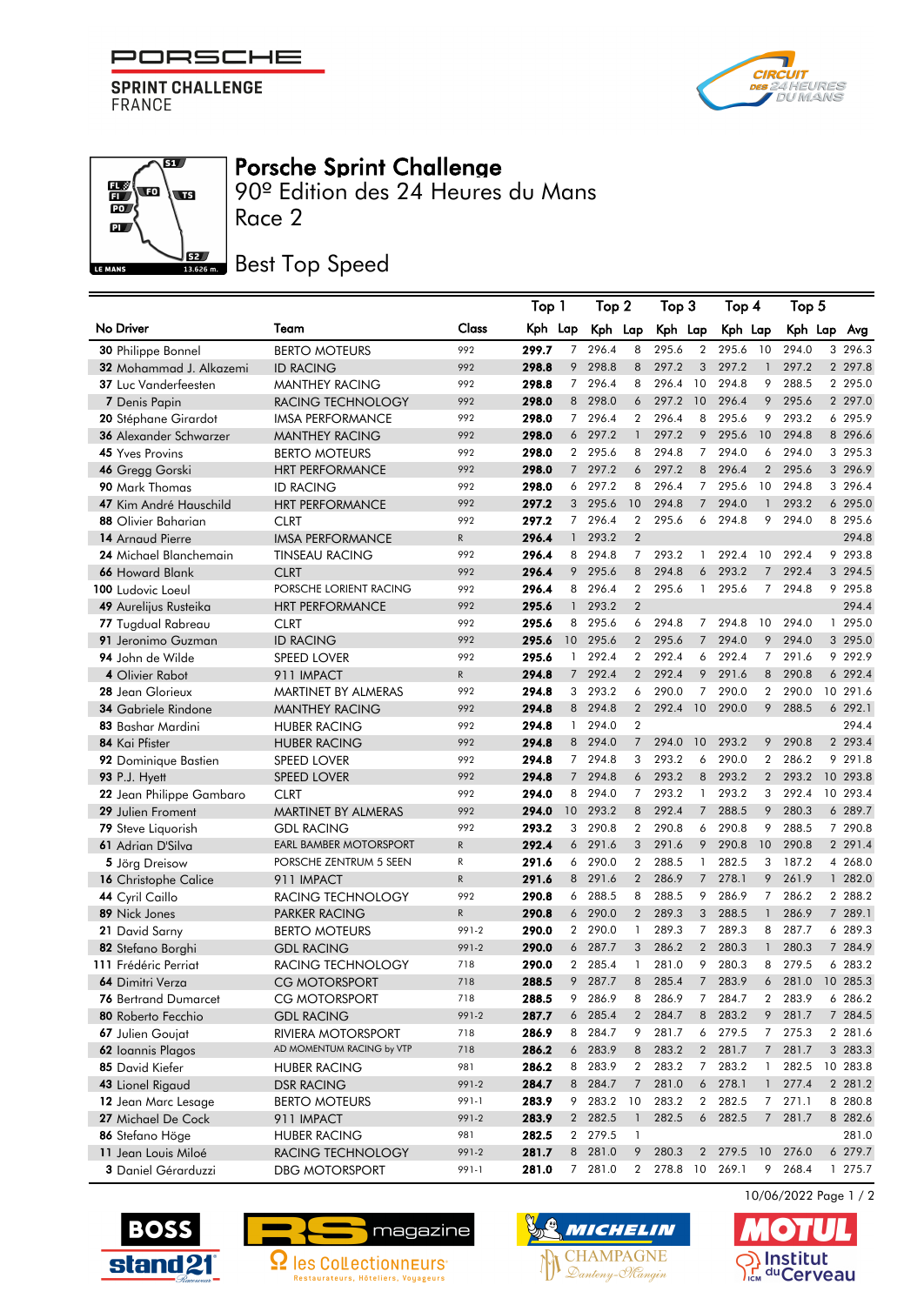

**SPRINT CHALLENGE**<br>FRANCE

 $\overline{\mathbf{g}}$ 

**STEP** 

 $\mathbb{E}\left( \mathbb{E}\right)$ 

 $\overline{PQ}$  $\mathbf{a}$ 

LE MANS



## Porsche Sprint Challenge

Race 2 90º Edition des 24 Heures du Mans

## **JEZ Best Top Speed**

|                               |                               |              | Top 1   |                 | Top 2   |                | Top 3    |                | Top 4   |                | Top 5   |          |  |
|-------------------------------|-------------------------------|--------------|---------|-----------------|---------|----------------|----------|----------------|---------|----------------|---------|----------|--|
| No Driver                     | Team                          | <b>Class</b> | Kph Lap |                 | Kph Lap |                | Kph Lap  |                | Kph Lap |                | Kph Lap | Avg      |  |
| 30 Philippe Bonnel            | <b>BERTO MOTEURS</b>          | 992          | 299.7   | $\overline{7}$  | 296.4   | 8              | 295.6    | $\overline{2}$ | 295.6   | 10             | 294.0   | 3 296.3  |  |
| 32 Mohammad J. Alkazemi       | <b>ID RACING</b>              | 992          | 298.8   | 9               | 298.8   | 8              | 297.2    | 3              | 297.2   | $\mathbf{1}$   | 297.2   | 2 297.8  |  |
| <b>37</b> Luc Vanderfeesten   | <b>MANTHEY RACING</b>         | 992          | 298.8   | $7^{\circ}$     | 296.4   | 8              | 296.4    | 10             | 294.8   | 9              | 288.5   | 2 295.0  |  |
| 7 Denis Papin                 | RACING TECHNOLOGY             | 992          | 298.0   |                 | 8 298.0 | 6              | 297.2    | 10             | 296.4   | 9              | 295.6   | 2 297.0  |  |
| <b>20</b> Stéphane Girardot   | <b>IMSA PERFORMANCE</b>       | 992          | 298.0   | $7^{\circ}$     | 296.4   | $\overline{2}$ | 296.4    | 8              | 295.6   | 9              | 293.2   | 6 295.9  |  |
| 36 Alexander Schwarzer        | <b>MANTHEY RACING</b>         | 992          | 298.0   | 6               | 297.2   | $\mathbf{1}$   | 297.2    | 9              | 295.6   | 10             | 294.8   | 8 296.6  |  |
| <b>45 Yves Provins</b>        | <b>BERTO MOTEURS</b>          | 992          | 298.0   |                 | 2 295.6 | 8              | 294.8    | 7              | 294.0   | 6              | 294.0   | 3 295.3  |  |
| 46 Gregg Gorski               | <b>HRT PERFORMANCE</b>        | 992          | 298.0   | $7^{\circ}$     | 297.2   | 6              | 297.2    | 8              | 296.4   | $\overline{2}$ | 295.6   | 3 296.9  |  |
| 90 Mark Thomas                | <b>ID RACING</b>              | 992          | 298.0   | 6               | 297.2   | 8              | 296.4    | 7              | 295.6   | 10             | 294.8   | 3 296.4  |  |
| <b>47</b> Kim André Hauschild | <b>HRT PERFORMANCE</b>        | 992          | 297.2   | 3 <sup>1</sup>  | 295.6   | 10             | 294.8    | $\overline{7}$ | 294.0   | $\mathbf{1}$   | 293.2   | 6 295.0  |  |
| 88 Olivier Baharian           | <b>CLRT</b>                   | 992          | 297.2   | $7^{\circ}$     | 296.4   | $\overline{2}$ | 295.6    | 6              | 294.8   | 9              | 294.0   | 8 295.6  |  |
| 14 Arnaud Pierre              | <b>IMSA PERFORMANCE</b>       | $\mathsf{R}$ | 296.4   | $\mathbf{1}$    | 293.2   | $\overline{2}$ |          |                |         |                |         | 294.8    |  |
| 24 Michael Blanchemain        | <b>TINSEAU RACING</b>         | 992          | 296.4   | 8               | 294.8   | $\overline{7}$ | 293.2    | $\mathbf{1}$   | 292.4   | 10             | 292.4   | 9 293.8  |  |
| 66 Howard Blank               | <b>CLRT</b>                   | 992          | 296.4   | 9               | 295.6   | 8              | 294.8    | 6              | 293.2   | $\overline{7}$ | 292.4   | 3 294.5  |  |
| 100 Ludovic Loeul             | PORSCHE LORIENT RACING        | 992          | 296.4   | 8               | 296.4   | $\overline{2}$ | 295.6    | 1              | 295.6   | $7^{\circ}$    | 294.8   | 9 295.8  |  |
| 49 Aurelijus Rusteika         | <b>HRT PERFORMANCE</b>        | 992          | 295.6   | $\mathbf{1}$    | 293.2   | $\overline{2}$ |          |                |         |                |         | 294.4    |  |
| 77 Tugdual Rabreau            | <b>CLRT</b>                   | 992          | 295.6   | 8               | 295.6   | 6              | 294.8    | 7              | 294.8   | 10             | 294.0   | 1 295.0  |  |
| 91 Jeronimo Guzman            | <b>ID RACING</b>              | 992          | 295.6   | 10 <sup>°</sup> | 295.6   | $\overline{2}$ | 295.6    | $\overline{7}$ | 294.0   | 9              | 294.0   | 3 295.0  |  |
| 94 John de Wilde              | <b>SPEED LOVER</b>            | 992          | 295.6   | $\mathbf{1}$    | 292.4   | $\overline{2}$ | 292.4    | 6              | 292.4   | $7^{\circ}$    | 291.6   | 9 292.9  |  |
| 4 Olivier Rabot               | 911 IMPACT                    | $\mathsf R$  | 294.8   | $7^{\circ}$     | 292.4   | 2              | 292.4    | 9              | 291.6   | 8              | 290.8   | 6 292.4  |  |
| 28 Jean Glorieux              | MARTINET BY ALMERAS           | 992          | 294.8   | 3               | 293.2   | 6              | 290.0    | $\overline{7}$ | 290.0   | $\overline{2}$ | 290.0   | 10 291.6 |  |
| 34 Gabriele Rindone           | <b>MANTHEY RACING</b>         | 992          | 294.8   |                 | 8 294.8 | $\overline{2}$ | 292.4    | 10             | 290.0   | 9              | 288.5   | 6 292.1  |  |
| 83 Bashar Mardini             | <b>HUBER RACING</b>           | 992          | 294.8   | $\mathbf{1}$    | 294.0   | $\overline{2}$ |          |                |         |                |         | 294.4    |  |
| 84 Kai Pfister                | <b>HUBER RACING</b>           | 992          | 294.8   | 8               | 294.0   | $\overline{7}$ | 294.0    | 10             | 293.2   | 9              | 290.8   | 2 293.4  |  |
| 92 Dominique Bastien          | <b>SPEED LOVER</b>            | 992          | 294.8   |                 | 7 294.8 | 3              | 293.2    | 6              | 290.0   | $\overline{2}$ | 286.2   | 9 29 1.8 |  |
| <b>93 P.J. Hyett</b>          | <b>SPEED LOVER</b>            | 992          | 294.8   | $7^{\circ}$     | 294.8   | 6              | 293.2    | 8              | 293.2   | $2^{\circ}$    | 293.2   | 10 293.8 |  |
| 22 Jean Philippe Gambaro      | <b>CLRT</b>                   | 992          | 294.0   | 8               | 294.0   | $\overline{7}$ | 293.2    | 1              | 293.2   | 3              | 292.4   | 10 293.4 |  |
| 29 Julien Froment             | MARTINET BY ALMERAS           | 992          | 294.0   | $10-10$         | 293.2   | 8              | 292.4    | $\overline{7}$ | 288.5   | 9              | 280.3   | 6 289.7  |  |
| 79 Steve Liquorish            | <b>GDL RACING</b>             | 992          | 293.2   | 3               | 290.8   | $\overline{2}$ | 290.8    | 6              | 290.8   | 9              | 288.5   | 7 290.8  |  |
| 61 Adrian D'Silva             | <b>EARL BAMBER MOTORSPORT</b> | $\mathsf{R}$ | 292.4   | 6               | 291.6   | 3              | 291.6    | 9              | 290.8   | 10             | 290.8   | 2 291.4  |  |
| 5 Jörg Dreisow                | PORSCHE ZENTRUM 5 SEEN        | R            | 291.6   | 6               | 290.0   | $\overline{2}$ | 288.5    | $\mathbf{1}$   | 282.5   | 3              | 187.2   | 4 268.0  |  |
| 16 Christophe Calice          | 911 IMPACT                    | $\mathsf{R}$ | 291.6   | 8               | 291.6   | 2              | 286.9    | $\overline{7}$ | 278.1   | 9              | 261.9   | 1 282.0  |  |
| 44 Cyril Caillo               | RACING TECHNOLOGY             | 992          | 290.8   | 6               | 288.5   | 8              | 288.5    | 9              | 286.9   | $7^{\circ}$    | 286.2   | 2 288.2  |  |
| 89 Nick Jones                 | <b>PARKER RACING</b>          | ${\sf R}$    | 290.8   | 6               | 290.0   | $\overline{2}$ | 289.3    | 3              | 288.5   | $\mathbf{1}$   | 286.9   | 7 289.1  |  |
| 21 David Sarny                | <b>BERTO MOTEURS</b>          | 991-2        | 290.0   | $\mathbf{2}$    | 290.0   | $\mathbf{1}$   | 289.3    | 7              | 289.3   | 8              | 287.7   | 6 289.3  |  |
| 82 Stefano Borghi             | <b>GDL RACING</b>             | 991-2        | 290.0   | 6               | 287.7   | 3              | 286.2    | $\overline{2}$ | 280.3   | $\mathbf{1}$   | 280.3   | 7 284.9  |  |
| 111 Frédéric Perriat          | RACING TECHNOLOGY             | 718          | 290.0   | $\mathbf{2}$    | 285.4   | $\mathbf{1}$   | 281.0    | 9              | 280.3   | 8              | 279.5   | 6 283.2  |  |
| 64 Dimitri Verza              | <b>CG MOTORSPORT</b>          | 718          | 288.5   | 9               | 287.7   | 8              | 285.4    | $\overline{7}$ | 283.9   | 6              | 281.0   | 10 285.3 |  |
| <b>76 Bertrand Dumarcet</b>   | <b>CG MOTORSPORT</b>          | 718          | 288.5   | 9               | 286.9   | 8              | 286.9    | 7              | 284.7   | 2              | 283.9   | 6 286.2  |  |
| 80 Roberto Fecchio            | <b>GDL RACING</b>             | 991-2        | 287.7   |                 | 6 285.4 | $\overline{2}$ | 284.7    | 8              | 283.2   | 9              | 281.7   | 7 284.5  |  |
| 67 Julien Goujat              | RIVIERA MOTORSPORT            | 718          | 286.9   | 8               | 284.7   | 9              | 281.7    | 6              | 279.5   | 7 <sup>7</sup> | 275.3   | 2 281.6  |  |
| 62 Ioannis Plagos             | AD MOMENTUM RACING by VTP     | 718          | 286.2   |                 | 6 283.9 | 8              | 283.2    | $2^{\circ}$    | 281.7   |                | 7 281.7 | 3 283.3  |  |
| 85 David Kiefer               | <b>HUBER RACING</b>           | 981          | 286.2   |                 | 8 283.9 | $\overline{2}$ | 283.2    |                | 7 283.2 |                | 1 282.5 | 10 283.8 |  |
| 43 Lionel Rigaud              | DSR RACING                    | 991-2        | 284.7   |                 | 8 284.7 | $\overline{7}$ | 281.0    | 6              | 278.1   |                | 1277.4  | 2 281.2  |  |
| 12 Jean Marc Lesage           | <b>BERTO MOTEURS</b>          | 991-1        | 283.9   | 9               | 283.2   | 10             | 283.2    | $\mathbf{2}$   | 282.5   |                | 7271.1  | 8 280.8  |  |
| 27 Michael De Cock            | 911 IMPACT                    | 991-2        | 283.9   |                 | 2 282.5 | $\mathbf{1}$   | 282.5    |                | 6 282.5 |                | 7 281.7 | 8 282.6  |  |
| 86 Stefano Höge               | <b>HUBER RACING</b>           | 981          | 282.5   |                 | 2 279.5 | $\mathbf{1}$   |          |                |         |                |         | 281.0    |  |
| 11 Jean Louis Miloé           | RACING TECHNOLOGY             | 991-2        | 281.7   |                 | 8 281.0 | 9              | 280.3    | $2^{\circ}$    | 279.5   | 10             | 276.0   | 6 279.7  |  |
| 3 Daniel Gérarduzzi           | <b>DBG MOTORSPORT</b>         | 991-1        | 281.0   |                 | 7 281.0 | $\overline{2}$ | 278.8 10 |                | 269.1   | 9              | 268.4   | 1 275.7  |  |